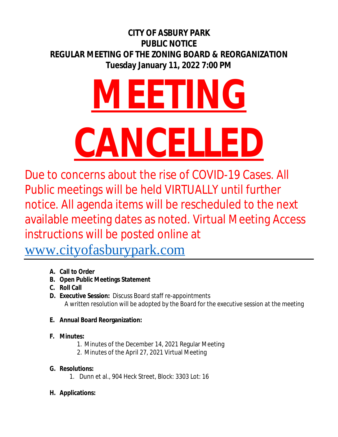# **CITY OF ASBURY PARK PUBLIC NOTICE REGULAR MEETING OF THE ZONING BOARD & REORGANIZATION Tuesday January 11, 2022 7:00 PM**

# **MEETING CANCELLED**

Due to concerns about the rise of COVID-19 Cases. All Public meetings will be held VIRTUALLY until further notice. All agenda items will be rescheduled to the next available meeting dates as noted. Virtual Meeting Access instructions will be posted online at

[www.cityofasburypark.com](http://www.cityofasburypark.com)

- **A. Call to Order**
- **B. Open Public Meetings Statement**
- **C. Roll Call**
- **D. Executive Session:** Discuss Board staff re-appointments *A written resolution will be adopted by the Board for the executive session at the meeting*
- **E. Annual Board Reorganization:**
- **F. Minutes:**
	- 1. Minutes of the December 14, 2021 Regular Meeting
	- 2. Minutes of the April 27, 2021 Virtual Meeting

## **G. Resolutions:**

- 1. Dunn et al., 904 Heck Street, Block: 3303 Lot: 16
- **H. Applications:**